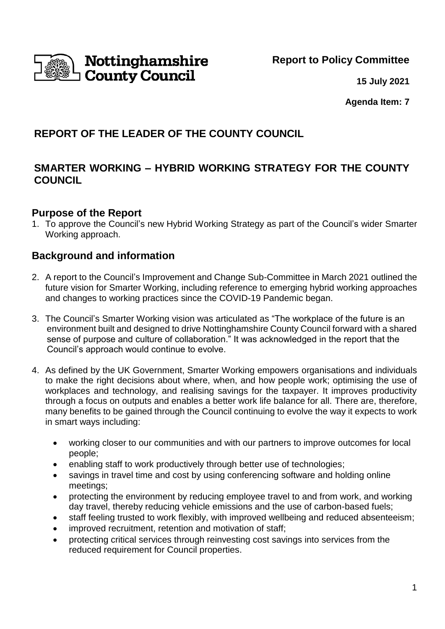**Report to Policy Committee**



**15 July 2021**

**Agenda Item: 7**

# **REPORT OF THE LEADER OF THE COUNTY COUNCIL**

## **SMARTER WORKING – HYBRID WORKING STRATEGY FOR THE COUNTY COUNCIL**

## **Purpose of the Report**

1. To approve the Council's new Hybrid Working Strategy as part of the Council's wider Smarter Working approach.

## **Background and information**

- 2. A report to the Council's Improvement and Change Sub-Committee in March 2021 outlined the future vision for Smarter Working, including reference to emerging hybrid working approaches and changes to working practices since the COVID-19 Pandemic began.
- 3. The Council's Smarter Working vision was articulated as "The workplace of the future is an environment built and designed to drive Nottinghamshire County Council forward with a shared sense of purpose and culture of collaboration." It was acknowledged in the report that the Council's approach would continue to evolve.
- 4. As defined by the UK Government, Smarter Working empowers organisations and individuals to make the right decisions about where, when, and how people work; optimising the use of workplaces and technology, and realising savings for the taxpayer. It improves productivity through a focus on outputs and enables a better work life balance for all. There are, therefore, many benefits to be gained through the Council continuing to evolve the way it expects to work in smart ways including:
	- working closer to our communities and with our partners to improve outcomes for local people;
	- enabling staff to work productively through better use of technologies;
	- savings in travel time and cost by using conferencing software and holding online meetings;
	- protecting the environment by reducing employee travel to and from work, and working day travel, thereby reducing vehicle emissions and the use of carbon-based fuels;
	- staff feeling trusted to work flexibly, with improved wellbeing and reduced absenteeism;
	- improved recruitment, retention and motivation of staff:
	- protecting critical services through reinvesting cost savings into services from the reduced requirement for Council properties.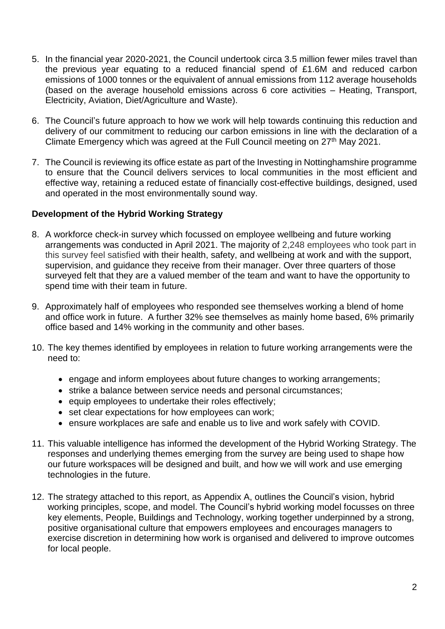- 5. In the financial year 2020-2021, the Council undertook circa 3.5 million fewer miles travel than the previous year equating to a reduced financial spend of £1.6M and reduced carbon emissions of 1000 tonnes or the equivalent of annual emissions from 112 average households (based on the average household emissions across 6 core activities – Heating, Transport, Electricity, Aviation, Diet/Agriculture and Waste).
- 6. The Council's future approach to how we work will help towards continuing this reduction and delivery of our commitment to reducing our carbon emissions in line with the declaration of a Climate Emergency which was agreed at the Full Council meeting on 27<sup>th</sup> May 2021.
- 7. The Council is reviewing its office estate as part of the Investing in Nottinghamshire programme to ensure that the Council delivers services to local communities in the most efficient and effective way, retaining a reduced estate of financially cost-effective buildings, designed, used and operated in the most environmentally sound way.

### **Development of the Hybrid Working Strategy**

- 8. A workforce check-in survey which focussed on employee wellbeing and future working arrangements was conducted in April 2021. The majority of 2,248 employees who took part in this survey feel satisfied with their health, safety, and wellbeing at work and with the support, supervision, and guidance they receive from their manager. Over three quarters of those surveyed felt that they are a valued member of the team and want to have the opportunity to spend time with their team in future.
- 9. Approximately half of employees who responded see themselves working a blend of home and office work in future. A further 32% see themselves as mainly home based, 6% primarily office based and 14% working in the community and other bases.
- 10. The key themes identified by employees in relation to future working arrangements were the need to:
	- engage and inform employees about future changes to working arrangements;
	- strike a balance between service needs and personal circumstances;
	- equip employees to undertake their roles effectively;
	- set clear expectations for how employees can work;
	- ensure workplaces are safe and enable us to live and work safely with COVID.
- 11. This valuable intelligence has informed the development of the Hybrid Working Strategy. The responses and underlying themes emerging from the survey are being used to shape how our future workspaces will be designed and built, and how we will work and use emerging technologies in the future.
- 12. The strategy attached to this report, as Appendix A, outlines the Council's vision, hybrid working principles, scope, and model. The Council's hybrid working model focusses on three key elements, People, Buildings and Technology, working together underpinned by a strong, positive organisational culture that empowers employees and encourages managers to exercise discretion in determining how work is organised and delivered to improve outcomes for local people.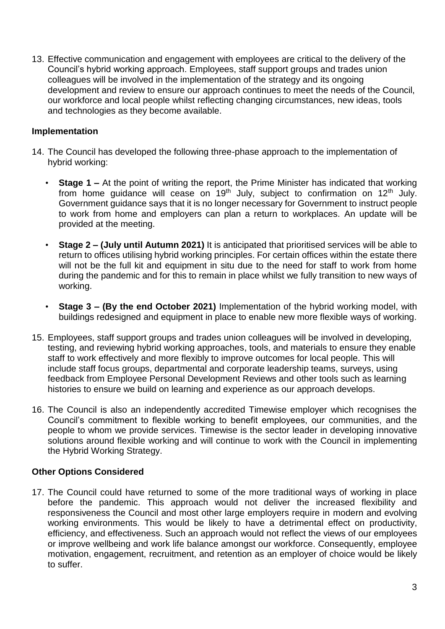13. Effective communication and engagement with employees are critical to the delivery of the Council's hybrid working approach. Employees, staff support groups and trades union colleagues will be involved in the implementation of the strategy and its ongoing development and review to ensure our approach continues to meet the needs of the Council, our workforce and local people whilst reflecting changing circumstances, new ideas, tools and technologies as they become available.

### **Implementation**

- 14. The Council has developed the following three-phase approach to the implementation of hybrid working:
	- **Stage 1 –** At the point of writing the report, the Prime Minister has indicated that working from home quidance will cease on  $19<sup>th</sup>$  July, subject to confirmation on  $12<sup>th</sup>$  July. Government guidance says that it is no longer necessary for Government to instruct people to work from home and employers can plan a return to workplaces. An update will be provided at the meeting.
	- **Stage 2 – (July until Autumn 2021)** It is anticipated that prioritised services will be able to return to offices utilising hybrid working principles. For certain offices within the estate there will not be the full kit and equipment in situ due to the need for staff to work from home during the pandemic and for this to remain in place whilst we fully transition to new ways of working.
	- **Stage 3 – (By the end October 2021)** Implementation of the hybrid working model, with buildings redesigned and equipment in place to enable new more flexible ways of working.
- 15. Employees, staff support groups and trades union colleagues will be involved in developing, testing, and reviewing hybrid working approaches, tools, and materials to ensure they enable staff to work effectively and more flexibly to improve outcomes for local people. This will include staff focus groups, departmental and corporate leadership teams, surveys, using feedback from Employee Personal Development Reviews and other tools such as learning histories to ensure we build on learning and experience as our approach develops.
- 16. The Council is also an independently accredited Timewise employer which recognises the Council's commitment to flexible working to benefit employees, our communities, and the people to whom we provide services. Timewise is the sector leader in developing innovative solutions around flexible working and will continue to work with the Council in implementing the Hybrid Working Strategy.

## **Other Options Considered**

17. The Council could have returned to some of the more traditional ways of working in place before the pandemic. This approach would not deliver the increased flexibility and responsiveness the Council and most other large employers require in modern and evolving working environments. This would be likely to have a detrimental effect on productivity, efficiency, and effectiveness. Such an approach would not reflect the views of our employees or improve wellbeing and work life balance amongst our workforce. Consequently, employee motivation, engagement, recruitment, and retention as an employer of choice would be likely to suffer.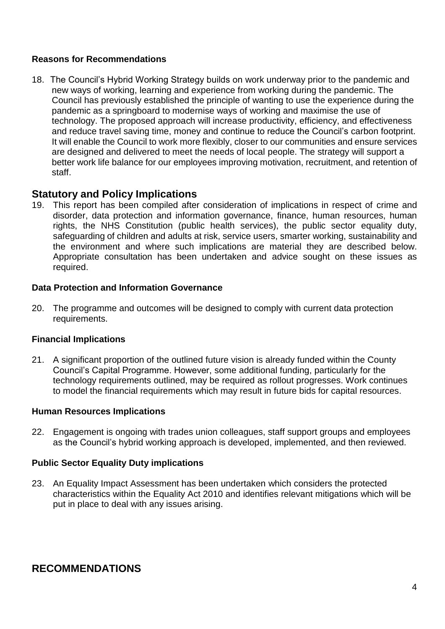### **Reasons for Recommendations**

18. The Council's Hybrid Working Strategy builds on work underway prior to the pandemic and new ways of working, learning and experience from working during the pandemic. The Council has previously established the principle of wanting to use the experience during the pandemic as a springboard to modernise ways of working and maximise the use of technology. The proposed approach will increase productivity, efficiency, and effectiveness and reduce travel saving time, money and continue to reduce the Council's carbon footprint. It will enable the Council to work more flexibly, closer to our communities and ensure services are designed and delivered to meet the needs of local people. The strategy will support a better work life balance for our employees improving motivation, recruitment, and retention of staff.

## **Statutory and Policy Implications**

19. This report has been compiled after consideration of implications in respect of crime and disorder, data protection and information governance, finance, human resources, human rights, the NHS Constitution (public health services), the public sector equality duty, safeguarding of children and adults at risk, service users, smarter working, sustainability and the environment and where such implications are material they are described below. Appropriate consultation has been undertaken and advice sought on these issues as required.

### **Data Protection and Information Governance**

20. The programme and outcomes will be designed to comply with current data protection requirements.

#### **Financial Implications**

21. A significant proportion of the outlined future vision is already funded within the County Council's Capital Programme. However, some additional funding, particularly for the technology requirements outlined, may be required as rollout progresses. Work continues to model the financial requirements which may result in future bids for capital resources.

#### **Human Resources Implications**

22. Engagement is ongoing with trades union colleagues, staff support groups and employees as the Council's hybrid working approach is developed, implemented, and then reviewed.

#### **Public Sector Equality Duty implications**

23. An Equality Impact Assessment has been undertaken which considers the protected characteristics within the Equality Act 2010 and identifies relevant mitigations which will be put in place to deal with any issues arising.

## **RECOMMENDATIONS**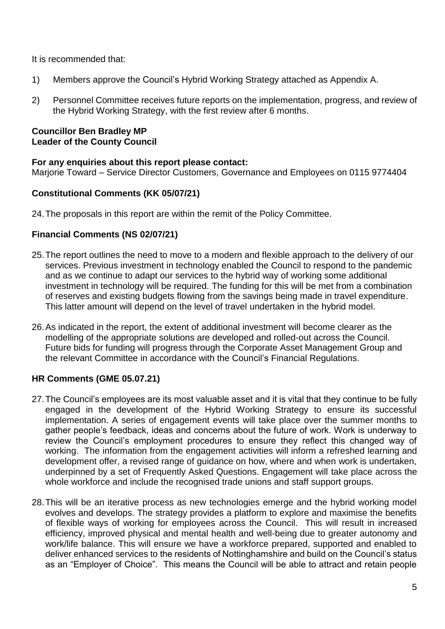It is recommended that:

- 1) Members approve the Council's Hybrid Working Strategy attached as Appendix A.
- 2) Personnel Committee receives future reports on the implementation, progress, and review of the Hybrid Working Strategy, with the first review after 6 months.

#### **Councillor Ben Bradley MP Leader of the County Council**

### **For any enquiries about this report please contact:**

Marjorie Toward – Service Director Customers, Governance and Employees on 0115 9774404

## **Constitutional Comments (KK 05/07/21)**

24.The proposals in this report are within the remit of the Policy Committee.

## **Financial Comments (NS 02/07/21)**

- 25.The report outlines the need to move to a modern and flexible approach to the delivery of our services. Previous investment in technology enabled the Council to respond to the pandemic and as we continue to adapt our services to the hybrid way of working some additional investment in technology will be required. The funding for this will be met from a combination of reserves and existing budgets flowing from the savings being made in travel expenditure. This latter amount will depend on the level of travel undertaken in the hybrid model.
- 26.As indicated in the report, the extent of additional investment will become clearer as the modelling of the appropriate solutions are developed and rolled-out across the Council. Future bids for funding will progress through the Corporate Asset Management Group and the relevant Committee in accordance with the Council's Financial Regulations.

## **HR Comments (GME 05.07.21)**

- 27.The Council's employees are its most valuable asset and it is vital that they continue to be fully engaged in the development of the Hybrid Working Strategy to ensure its successful implementation. A series of engagement events will take place over the summer months to gather people's feedback, ideas and concerns about the future of work. Work is underway to review the Council's employment procedures to ensure they reflect this changed way of working. The information from the engagement activities will inform a refreshed learning and development offer, a revised range of guidance on how, where and when work is undertaken, underpinned by a set of Frequently Asked Questions. Engagement will take place across the whole workforce and include the recognised trade unions and staff support groups.
- 28.This will be an iterative process as new technologies emerge and the hybrid working model evolves and develops. The strategy provides a platform to explore and maximise the benefits of flexible ways of working for employees across the Council. This will result in increased efficiency, improved physical and mental health and well-being due to greater autonomy and work/life balance. This will ensure we have a workforce prepared, supported and enabled to deliver enhanced services to the residents of Nottinghamshire and build on the Council's status as an "Employer of Choice". This means the Council will be able to attract and retain people